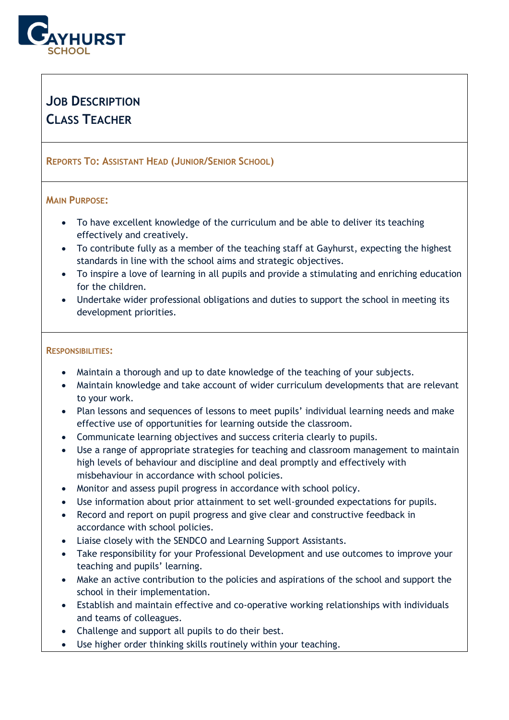

# **JOB DESCRIPTION CLASS TEACHER**

## **REPORTS TO: ASSISTANT HEAD (JUNIOR/SENIOR SCHOOL)**

## **MAIN PURPOSE:**

- To have excellent knowledge of the curriculum and be able to deliver its teaching effectively and creatively.
- To contribute fully as a member of the teaching staff at Gayhurst, expecting the highest standards in line with the school aims and strategic objectives.
- To inspire a love of learning in all pupils and provide a stimulating and enriching education for the children.
- Undertake wider professional obligations and duties to support the school in meeting its development priorities.

#### **RESPONSIBILITIES:**

- Maintain a thorough and up to date knowledge of the teaching of your subjects.
- Maintain knowledge and take account of wider curriculum developments that are relevant to your work.
- Plan lessons and sequences of lessons to meet pupils' individual learning needs and make effective use of opportunities for learning outside the classroom.
- Communicate learning objectives and success criteria clearly to pupils.
- Use a range of appropriate strategies for teaching and classroom management to maintain high levels of behaviour and discipline and deal promptly and effectively with misbehaviour in accordance with school policies.
- Monitor and assess pupil progress in accordance with school policy.
- Use information about prior attainment to set well-grounded expectations for pupils.
- Record and report on pupil progress and give clear and constructive feedback in accordance with school policies.
- Liaise closely with the SENDCO and Learning Support Assistants.
- Take responsibility for your Professional Development and use outcomes to improve your teaching and pupils' learning.
- Make an active contribution to the policies and aspirations of the school and support the school in their implementation.
- Establish and maintain effective and co-operative working relationships with individuals and teams of colleagues.
- Challenge and support all pupils to do their best.
- Use higher order thinking skills routinely within your teaching.